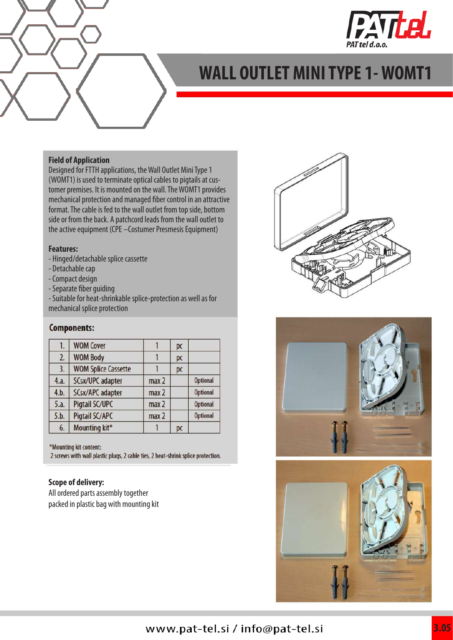

## **WALL OUTLET MINI TYPE 1- WOMT1**

#### **Field of Application**

Designed for FTTH applications, the Wall Outlet Mini Type 1 (WOMT1) is used to terminate optical cables to pigtails at customer premises. It is mounted on the wall. The WOMT1 provides mechanical protection and managed fiber control in an attractive format. The cable is fed to the wall outlet from top side, bottom side or from the back. A patchcord leads from the wall outlet to the active equipment (CPE –Costumer Presmesis Equipment)

#### **Features:**

- Hinged/detachable splice cassette
- Detachable cap
- Compact design
- Separate fiber guiding

- Suitable for heat-shrinkable splice-protection as well as for mechanical splice protection

#### **Components:**

| 1.   | <b>WOM Cover</b>           |                  | pc |                 |
|------|----------------------------|------------------|----|-----------------|
| 2.   | <b>WOM Body</b>            |                  | pc |                 |
| 3.   | <b>WOM Splice Cassette</b> |                  | pc |                 |
| 4.a. | SCsx/UPC adapter           | max <sub>2</sub> |    | <b>Optional</b> |
| 4.b. | SCsx/APC adapter           | max <sub>2</sub> |    | <b>Optional</b> |
| 5.a. | Pigtail SC/UPC             | max <sub>2</sub> |    | <b>Optional</b> |
| 5.b. | Pigtail SC/APC             | max <sub>2</sub> |    | <b>Optional</b> |
| 6.   | Mounting kit*              |                  | pc |                 |

\*Mounting kit content:

2 screws with wall plastic plugs, 2 cable ties, 2 heat-shrink splice protection.

#### **Scope of delivery:**

All ordered parts assembly together packed in plastic bag with mounting kit





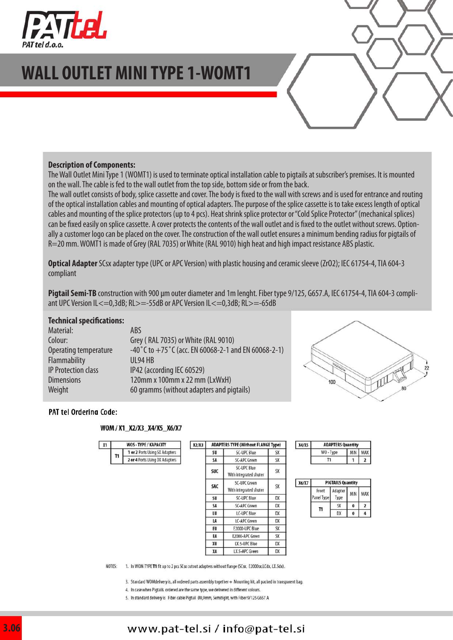

## **WALL OUTLET MINI TYPE 1-WOMT1**

#### **Description of Components:**

The Wall Outlet Mini Type 1 (WOMT1) is used to terminate optical installation cable to pigtails at subscriber's premises. It is mounted on the wall. The cable is fed to the wall outlet from the top side, bottom side or from the back.

The wall outlet consists of body, splice cassette and cover. The body is fixed to the wall with screws and is used for entrance and routing of the optical installation cables and mounting of optical adapters. The purpose of the splice cassette is to take excess length of optical cables and mounting of the splice protectors (up to 4 pcs). Heat shrink splice protector or "Cold Splice Protector" (mechanical splices) can be fixed easily on splice cassette. A cover protects the contents of the wall outlet and is fixed to the outlet without screws. Optionally a customer logo can be placed on the cover. The construction of the wall outlet ensures a minimum bending radius for pigtails of R=20 mm. WOMT1 is made of Grey (RAL 7035) or White (RAL 9010) high heat and high impact resistance ABS plastic.

**Optical Adapter** SCsx adapter type (UPC or APC Version) with plastic housing and ceramic sleeve (ZrO2); IEC 61754-4, TIA 604-3 compliant

**Pigtail Semi-TB** construction with 900 μm outer diameter and 1m lenght. Fiber type 9/125, G657.A, IEC 61754-4, TIA 604-3 compliant UPC Version IL<=0,3dB; RL>=-55dB or APC Version IL<=0,3dB; RL>=-65dB

#### **Technical specifications:**

| Material:                  | ABS                                                 |
|----------------------------|-----------------------------------------------------|
| Colour:                    | Grey (RAL 7035) or White (RAL 9010)                 |
| Operating temperature      | -40°C to +75°C (acc. EN 60068-2-1 and EN 60068-2-1) |
| Flammability               | $UL94$ HB                                           |
| <b>IP Protection class</b> | IP42 (according IEC 60529)                          |
| <b>Dimensions</b>          | 120mm x 100mm x 22 mm (LxWxH)                       |
| Weight                     | 60 gramms (without adapters and pigtails)           |
|                            |                                                     |



#### PAT tel Orderina Code:

 $x_1$ 

 $\mathbf{u}$ 

#### WOM / X1\_X2/X3\_X4/X5\_X6/X7

WOS-TYPE/K

1 or 2 Ports Usi

2 or 4 Ports Usi

| <b>IPACITY</b> | X2/X3 | <b>ADAPTERS TYPE (Without FLANGE Type)</b> |                                        |           |
|----------------|-------|--------------------------------------------|----------------------------------------|-----------|
| ng SX Adapters |       | SU                                         | SC-UPC Blue                            | <b>SX</b> |
| ng DX Adapters |       | SA                                         | SC-APC Green                           | <b>SX</b> |
|                |       | <b>SUC</b>                                 | SC-UPC Blue<br>With integrated shuter  | SX        |
|                |       | SAC                                        | SC-UPC Green<br>With integrated shuter | SX        |
|                |       | SU                                         | SC-UPC Blue                            | DX        |
|                |       | SA                                         | SC-APC Green                           | DX        |
|                |       | LU                                         | LC-UPC Blue                            | DX        |
|                |       | LA                                         | LC-APC Green                           | DX        |
|                |       | EU                                         | E2000-UPC Blue                         | <b>SX</b> |
|                |       | EA                                         | E2000-APC Green                        | SX        |
|                |       | XU                                         | LX.5-UPC Blue                          | DX        |
|                |       | XA                                         | LX.5-APC Green                         | DX        |

| (4/X5) | <b>ADAPTERS Quantity</b> |         |  |  |
|--------|--------------------------|---------|--|--|
|        | WO-Type                  | MIN MAX |  |  |
|        | п                        |         |  |  |

| <b>X6/X7</b> | <b>PIGTAILS Quantity</b> |                 |     |     |
|--------------|--------------------------|-----------------|-----|-----|
|              | Front<br>anel Type       | Adapter<br>Type | MIN | MAX |
|              |                          |                 | 0   |     |
|              |                          |                 | 0   |     |

NOTES: 1. In WOM TYPE T1 fit up to 2 pcs SCsx cutout adapters without flange (SCsx, E2000sx,LCdx, LX.5dx).

3. Standard WOMdelivery is, all ordered parts assembly together + Mounting kit, all packed in transparent bag.

4. In case when Piotails ordered are the same type, we delivered in different colours.

5. In standard delivery is Fiber cable Pigtail Ø0,9mm, Semitight, with Fiber 9/125 G657 A